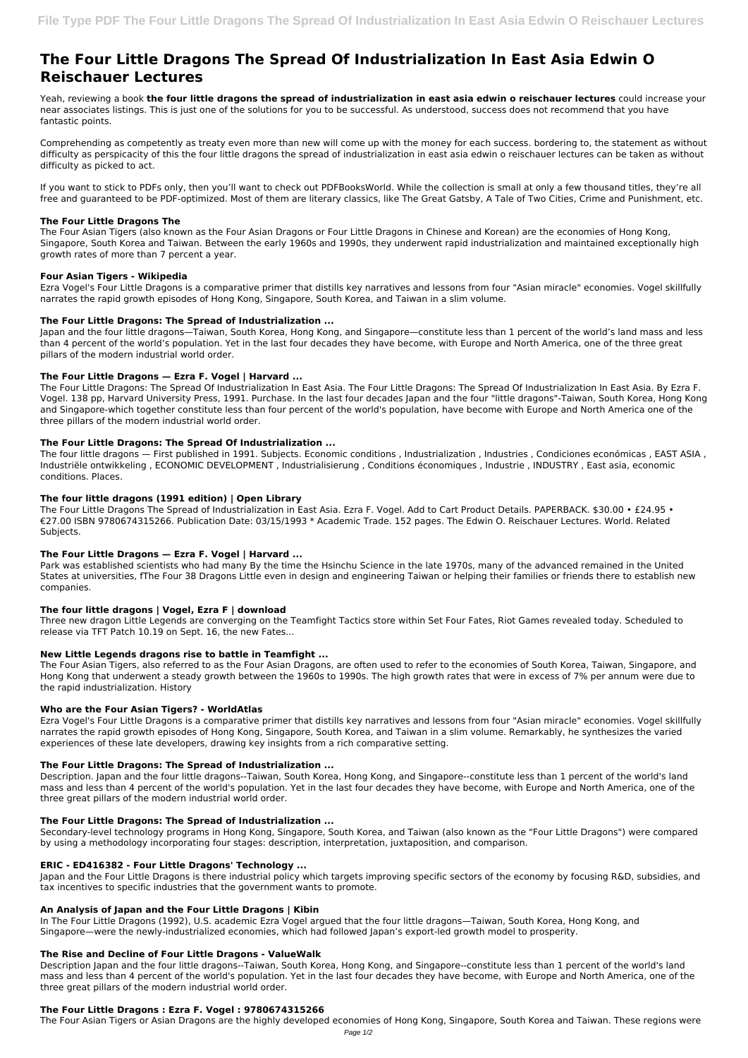# **The Four Little Dragons The Spread Of Industrialization In East Asia Edwin O Reischauer Lectures**

Yeah, reviewing a book **the four little dragons the spread of industrialization in east asia edwin o reischauer lectures** could increase your near associates listings. This is just one of the solutions for you to be successful. As understood, success does not recommend that you have fantastic points.

Comprehending as competently as treaty even more than new will come up with the money for each success. bordering to, the statement as without difficulty as perspicacity of this the four little dragons the spread of industrialization in east asia edwin o reischauer lectures can be taken as without difficulty as picked to act.

If you want to stick to PDFs only, then you'll want to check out PDFBooksWorld. While the collection is small at only a few thousand titles, they're all free and guaranteed to be PDF-optimized. Most of them are literary classics, like The Great Gatsby, A Tale of Two Cities, Crime and Punishment, etc.

# **The Four Little Dragons The**

The Four Asian Tigers (also known as the Four Asian Dragons or Four Little Dragons in Chinese and Korean) are the economies of Hong Kong, Singapore, South Korea and Taiwan. Between the early 1960s and 1990s, they underwent rapid industrialization and maintained exceptionally high growth rates of more than 7 percent a year.

# **Four Asian Tigers - Wikipedia**

Ezra Vogel's Four Little Dragons is a comparative primer that distills key narratives and lessons from four "Asian miracle" economies. Vogel skillfully narrates the rapid growth episodes of Hong Kong, Singapore, South Korea, and Taiwan in a slim volume.

# **The Four Little Dragons: The Spread of Industrialization ...**

Japan and the four little dragons—Taiwan, South Korea, Hong Kong, and Singapore—constitute less than 1 percent of the world's land mass and less than 4 percent of the world's population. Yet in the last four decades they have become, with Europe and North America, one of the three great pillars of the modern industrial world order.

# **The Four Little Dragons — Ezra F. Vogel | Harvard ...**

The Four Little Dragons: The Spread Of Industrialization In East Asia. The Four Little Dragons: The Spread Of Industrialization In East Asia. By Ezra F. Vogel. 138 pp, Harvard University Press, 1991. Purchase. In the last four decades Japan and the four "little dragons"-Taiwan, South Korea, Hong Kong and Singapore-which together constitute less than four percent of the world's population, have become with Europe and North America one of the three pillars of the modern industrial world order.

# **The Four Little Dragons: The Spread Of Industrialization ...**

The four little dragons — First published in 1991. Subjects. Economic conditions , Industrialization , Industries , Condiciones económicas , EAST ASIA , Industriële ontwikkeling , ECONOMIC DEVELOPMENT , Industrialisierung , Conditions économiques , Industrie , INDUSTRY , East asia, economic conditions. Places.

# **The four little dragons (1991 edition) | Open Library**

The Four Little Dragons The Spread of Industrialization in East Asia. Ezra F. Vogel. Add to Cart Product Details. PAPERBACK. \$30.00 • £24.95 • €27.00 ISBN 9780674315266. Publication Date: 03/15/1993 \* Academic Trade. 152 pages. The Edwin O. Reischauer Lectures. World. Related Subjects.

# **The Four Little Dragons — Ezra F. Vogel | Harvard ...**

Park was established scientists who had many By the time the Hsinchu Science in the late 1970s, many of the advanced remained in the United States at universities, fThe Four 38 Dragons Little even in design and engineering Taiwan or helping their families or friends there to establish new companies.

# **The four little dragons | Vogel, Ezra F | download**

Three new dragon Little Legends are converging on the Teamfight Tactics store within Set Four Fates, Riot Games revealed today. Scheduled to release via TFT Patch 10.19 on Sept. 16, the new Fates...

# **New Little Legends dragons rise to battle in Teamfight ...**

The Four Asian Tigers, also referred to as the Four Asian Dragons, are often used to refer to the economies of South Korea, Taiwan, Singapore, and Hong Kong that underwent a steady growth between the 1960s to 1990s. The high growth rates that were in excess of 7% per annum were due to the rapid industrialization. History

# **Who are the Four Asian Tigers? - WorldAtlas**

Ezra Vogel's Four Little Dragons is a comparative primer that distills key narratives and lessons from four "Asian miracle" economies. Vogel skillfully narrates the rapid growth episodes of Hong Kong, Singapore, South Korea, and Taiwan in a slim volume. Remarkably, he synthesizes the varied experiences of these late developers, drawing key insights from a rich comparative setting.

# **The Four Little Dragons: The Spread of Industrialization ...**

Description. Japan and the four little dragons--Taiwan, South Korea, Hong Kong, and Singapore--constitute less than 1 percent of the world's land mass and less than 4 percent of the world's population. Yet in the last four decades they have become, with Europe and North America, one of the three great pillars of the modern industrial world order.

#### **The Four Little Dragons: The Spread of Industrialization ...**

Secondary-level technology programs in Hong Kong, Singapore, South Korea, and Taiwan (also known as the "Four Little Dragons") were compared by using a methodology incorporating four stages: description, interpretation, juxtaposition, and comparison.

### **ERIC - ED416382 - Four Little Dragons' Technology ...**

Japan and the Four Little Dragons is there industrial policy which targets improving specific sectors of the economy by focusing R&D, subsidies, and tax incentives to specific industries that the government wants to promote.

# **An Analysis of Japan and the Four Little Dragons | Kibin**

In The Four Little Dragons (1992), U.S. academic Ezra Vogel argued that the four little dragons—Taiwan, South Korea, Hong Kong, and Singapore—were the newly-industrialized economies, which had followed Japan's export-led growth model to prosperity.

### **The Rise and Decline of Four Little Dragons - ValueWalk**

Description Japan and the four little dragons--Taiwan, South Korea, Hong Kong, and Singapore--constitute less than 1 percent of the world's land mass and less than 4 percent of the world's population. Yet in the last four decades they have become, with Europe and North America, one of the three great pillars of the modern industrial world order.

# **The Four Little Dragons : Ezra F. Vogel : 9780674315266**

The Four Asian Tigers or Asian Dragons are the highly developed economies of Hong Kong, Singapore, South Korea and Taiwan. These regions were